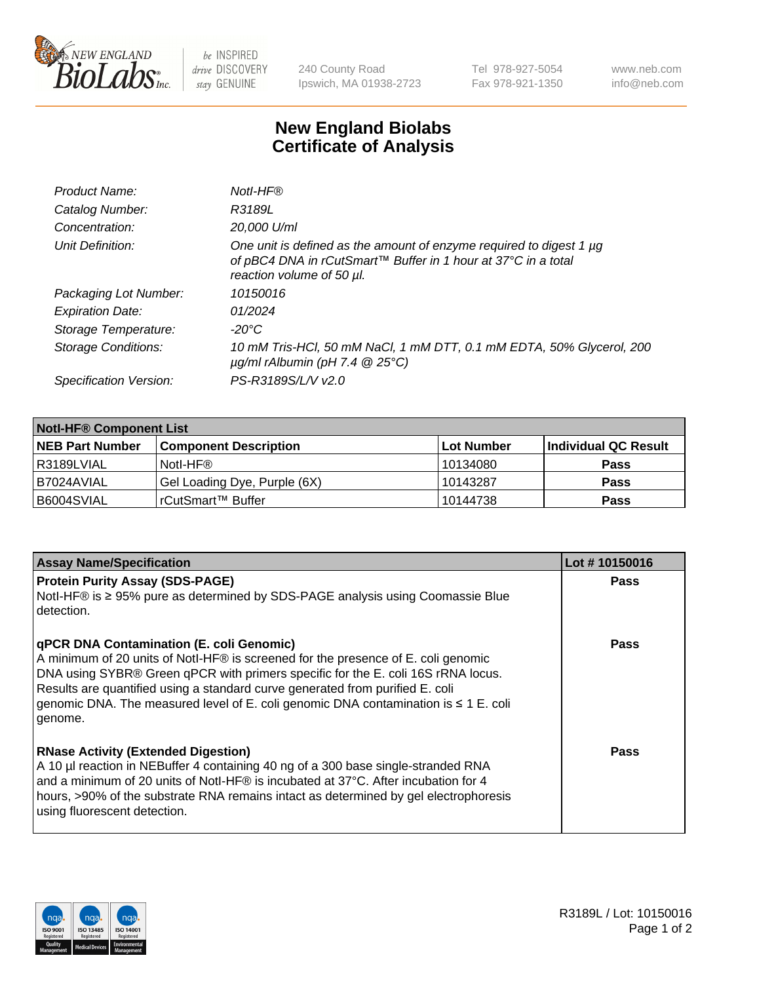

 $be$  INSPIRED drive DISCOVERY stay GENUINE

240 County Road Ipswich, MA 01938-2723 Tel 978-927-5054 Fax 978-921-1350 www.neb.com info@neb.com

## **New England Biolabs Certificate of Analysis**

| R3189L<br>20,000 U/ml                                                                                                                                             |
|-------------------------------------------------------------------------------------------------------------------------------------------------------------------|
|                                                                                                                                                                   |
|                                                                                                                                                                   |
| One unit is defined as the amount of enzyme required to digest 1 µg<br>of pBC4 DNA in rCutSmart™ Buffer in 1 hour at 37°C in a total<br>reaction volume of 50 µl. |
| 10150016                                                                                                                                                          |
| 01/2024                                                                                                                                                           |
| $-20^{\circ}$ C                                                                                                                                                   |
| 10 mM Tris-HCl, 50 mM NaCl, 1 mM DTT, 0.1 mM EDTA, 50% Glycerol, 200<br>$\mu$ g/ml rAlbumin (pH 7.4 $\circledR$ 25°C)                                             |
| PS-R3189S/L/V v2.0                                                                                                                                                |
|                                                                                                                                                                   |

| <b>Notl-HF® Component List</b> |                              |            |                      |  |  |
|--------------------------------|------------------------------|------------|----------------------|--|--|
| <b>NEB Part Number</b>         | <b>Component Description</b> | Lot Number | Individual QC Result |  |  |
| R3189LVIAL                     | Notl-HF®                     | 10134080   | <b>Pass</b>          |  |  |
| B7024AVIAL                     | Gel Loading Dye, Purple (6X) | 10143287   | <b>Pass</b>          |  |  |
| B6004SVIAL                     | rCutSmart™ Buffer            | 10144738   | <b>Pass</b>          |  |  |

| <b>Assay Name/Specification</b>                                                                                                                                                                                                                                                                                                                                                                             | Lot #10150016 |
|-------------------------------------------------------------------------------------------------------------------------------------------------------------------------------------------------------------------------------------------------------------------------------------------------------------------------------------------------------------------------------------------------------------|---------------|
| <b>Protein Purity Assay (SDS-PAGE)</b><br>Notl-HF® is ≥ 95% pure as determined by SDS-PAGE analysis using Coomassie Blue<br>detection.                                                                                                                                                                                                                                                                      | <b>Pass</b>   |
| <b>qPCR DNA Contamination (E. coli Genomic)</b><br>A minimum of 20 units of Notl-HF® is screened for the presence of E. coli genomic<br>DNA using SYBR® Green qPCR with primers specific for the E. coli 16S rRNA locus.<br>Results are quantified using a standard curve generated from purified E. coli<br>genomic DNA. The measured level of E. coli genomic DNA contamination is ≤ 1 E. coli<br>genome. | <b>Pass</b>   |
| <b>RNase Activity (Extended Digestion)</b><br>A 10 µl reaction in NEBuffer 4 containing 40 ng of a 300 base single-stranded RNA<br>and a minimum of 20 units of Notl-HF® is incubated at 37°C. After incubation for 4<br>hours, >90% of the substrate RNA remains intact as determined by gel electrophoresis<br>using fluorescent detection.                                                               | <b>Pass</b>   |